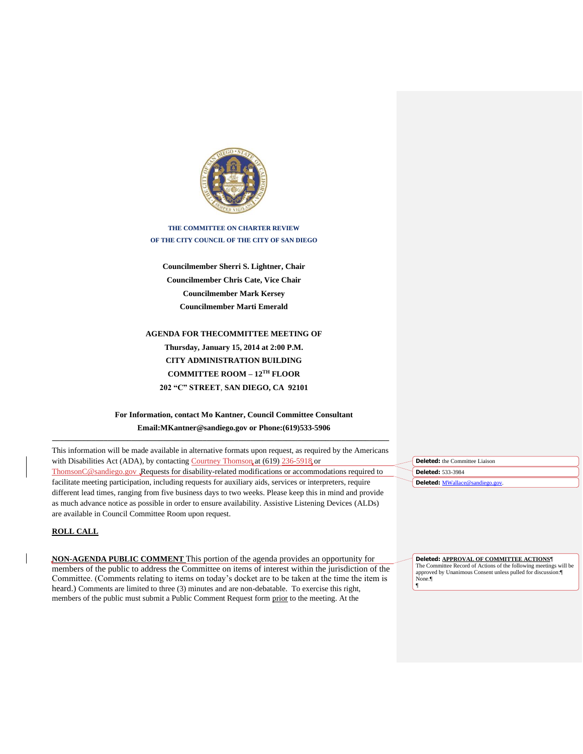

**THE COMMITTEE ON CHARTER REVIEW OF THE CITY COUNCIL OF THE CITY OF SAN DIEGO**

**Councilmember Sherri S. Lightner, Chair Councilmember Chris Cate, Vice Chair Councilmember Mark Kersey Councilmember Marti Emerald**

**AGENDA FOR THECOMMITTEE MEETING OF Thursday, January 15, 2014 at 2:00 P.M. CITY ADMINISTRATION BUILDING COMMITTEE ROOM – 12TH FLOOR 202 "C" STREET**, **SAN DIEGO, CA 92101**

# **For Information, contact Mo Kantner, Council Committee Consultant Email:MKantner@sandiego.gov or Phone:(619)533-5906**

This information will be made available in alternative formats upon request, as required by the Americans with Disabilities Act (ADA), by contacting Courtney Thomson at (619) 236-5918 or [ThomsonC@sandiego.gov](mailto:ThomsonC@sandiego.gov) .Requests for disability-related modifications or accommodations required to facilitate meeting participation, including requests for auxiliary aids, services or interpreters, require different lead times, ranging from five business days to two weeks. Please keep this in mind and provide as much advance notice as possible in order to ensure availability. Assistive Listening Devices (ALDs) are available in Council Committee Room upon request.

**\_\_\_\_\_\_\_\_\_\_\_\_\_\_\_\_\_\_\_\_\_\_\_\_\_\_\_\_\_\_\_\_\_\_\_\_\_\_\_\_\_\_\_\_\_\_\_\_\_\_\_\_\_\_\_\_\_\_\_\_\_\_\_\_\_\_\_\_\_\_\_\_\_\_\_\_\_\_\_\_\_\_\_\_\_**

## **ROLL CALL**

**NON-AGENDA PUBLIC COMMENT** This portion of the agenda provides an opportunity for members of the public to address the Committee on items of interest within the jurisdiction of the Committee. (Comments relating to items on today's docket are to be taken at the time the item is heard.) Comments are limited to three (3) minutes and are non-debatable. To exercise this right, members of the public must submit a Public Comment Request form prior to the meeting. At the

**Deleted:** the Committee Liaison **Deleted:** 533-3984 **Deleted: MWalla** 

**Deleted: APPROVAL OF COMMITTEE ACTIONS**¶ The Committee Record of Actions of the following meetings will be approved by Unanimous Consent unless pulled for discussion:¶ None.¶ ¶